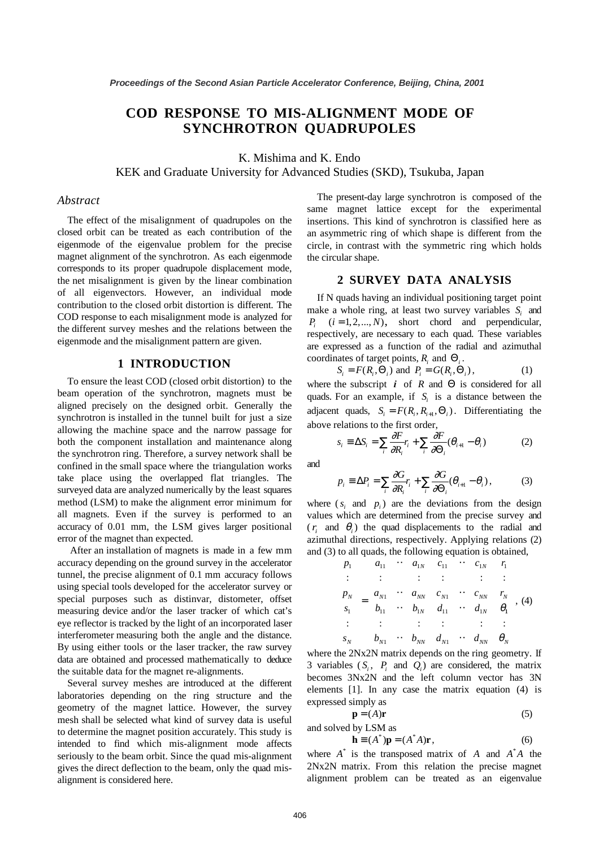# **COD RESPONSE TO MIS-ALIGNMENT MODE OF SYNCHROTRON QUADRUPOLES**

K. Mishima and K. Endo

KEK and Graduate University for Advanced Studies (SKD), Tsukuba, Japan

#### *Abstract*

The effect of the misalignment of quadrupoles on the closed orbit can be treated as each contribution of the eigenmode of the eigenvalue problem for the precise magnet alignment of the synchrotron. As each eigenmode corresponds to its proper quadrupole displacement mode, the net misalignment is given by the linear combination of all eigenvectors. However, an individual mode contribution to the closed orbit distortion is different. The COD response to each misalignment mode is analyzed for the different survey meshes and the relations between the eigenmode and the misalignment pattern are given.

## **1 INTRODUCTION**

To ensure the least COD (closed orbit distortion) to the beam operation of the synchrotron, magnets must be aligned precisely on the designed orbit. Generally the synchrotron is installed in the tunnel built for just a size allowing the machine space and the narrow passage for both the component installation and maintenance along the synchrotron ring. Therefore, a survey network shall be confined in the small space where the triangulation works take place using the overlapped flat triangles. The surveyed data are analyzed numerically by the least squares method (LSM) to make the alignment error minimum for all magnets. Even if the survey is performed to an accuracy of 0.01 mm, the LSM gives larger positional error of the magnet than expected.

 After an installation of magnets is made in a few mm accuracy depending on the ground survey in the accelerator tunnel, the precise alignment of 0.1 mm accuracy follows using special tools developed for the accelerator survey or special purposes such as distinvar, distometer, offset measuring device and/or the laser tracker of which cat's eye reflector is tracked by the light of an incorporated laser interferometer measuring both the angle and the distance. By using either tools or the laser tracker, the raw survey data are obtained and processed mathematically to deduce the suitable data for the magnet re-alignments.

Several survey meshes are introduced at the different laboratories depending on the ring structure and the geometry of the magnet lattice. However, the survey mesh shall be selected what kind of survey data is useful to determine the magnet position accurately. This study is intended to find which mis-alignment mode affects seriously to the beam orbit. Since the quad mis-alignment gives the direct deflection to the beam, only the quad misalignment is considered here.

The present-day large synchrotron is composed of the same magnet lattice except for the experimental insertions. This kind of synchrotron is classified here as an asymmetric ring of which shape is different from the circle, in contrast with the symmetric ring which holds the circular shape.

# **2 SURVEY DATA ANALYSIS**

If N quads having an individual positioning target point make a whole ring, at least two survey variables *Si* and  $P_i$   $(i = 1, 2, ..., N)$ , short chord and perpendicular, respectively, are necessary to each quad. These variables are expressed as a function of the radial and azimuthal coordinates of target points, *Ri* and Θ*<sup>i</sup>* .

$$
S_i = F(R_i, \Theta_i) \text{ and } P_i = G(R_i, \Theta_i), \tag{1}
$$

where the subscript  $i$  of  $R$  and  $\Theta$  is considered for all quads. For an example, if *Si* is a distance between the adjacent quads,  $S_i = F(R_i, R_{i+1}, \Theta_i)$ . Differentiating the above relations to the first order,

$$
s_i \equiv \Delta S_i = \sum_i \frac{\partial F}{\partial R_i} r_i + \sum_i \frac{\partial F}{\partial \Theta_i} (\theta_{i+1} - \theta_i)
$$
 (2)

and

$$
p_i \equiv \Delta P_i = \sum_i \frac{\partial G}{\partial R_i} r_i + \sum_i \frac{\partial G}{\partial \Theta_i} (\theta_{i+1} - \theta_i), \tag{3}
$$

where  $(s<sub>i</sub>$  and  $p<sub>i</sub>$ ) are the deviations from the design values which are determined from the precise survey and  $(r_i$  and  $\theta_i$ ) the quad displacements to the radial and azimuthal directions, respectively. Applying relations (2) and (3) to all quads, the following equation is obtained,

$$
\begin{pmatrix}\nP_1 \\
\vdots \\
P_N \\
s_1 \\
\vdots \\
s_N\n\end{pmatrix} = \begin{pmatrix}\na_{11} & \cdots & a_{1N} & c_{11} & \cdots & c_{1N} \\
\vdots & \vdots & \vdots & & \vdots \\
a_{N1} & \cdots & a_{NN} & c_{N1} & \cdots & c_{NN} \\
b_{11} & \cdots & b_{1N} & d_{11} & \cdots & d_{1N} \\
\vdots & \vdots & \vdots & & \vdots \\
b_{N1} & \cdots & b_{NN} & d_{N1} & \cdots & d_{NN}\n\end{pmatrix}, (4)
$$

where the 2Nx2N matrix depends on the ring geometry. If 3 variables  $(S_i, P_i$  and  $Q_i$  are considered, the matrix becomes 3Nx2N and the left column vector has 3N elements [1]. In any case the matrix equation (4) is expressed simply as

$$
\mathbf{p} = (A)\mathbf{r} \tag{5}
$$

and solved by LSM as

$$
\mathbf{h} \equiv (A^*)\mathbf{p} = (A^*A)\mathbf{r},\tag{6}
$$

where  $A^*$  is the transposed matrix of  $A$  and  $A^*A$  the 2Nx2N matrix. From this relation the precise magnet alignment problem can be treated as an eigenvalue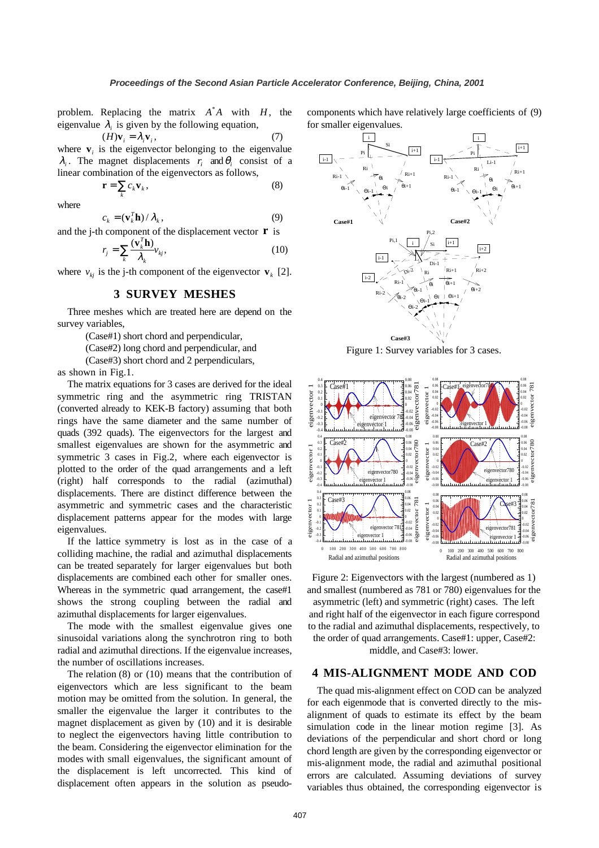problem. Replacing the matrix  $A^*A$  with  $H$ , the eigenvalue  $\lambda_i$  is given by the following equation,

$$
(H)\mathbf{v}_i = \lambda_i \mathbf{v}_i,\tag{7}
$$

where  $\mathbf{v}_i$  is the eigenvector belonging to the eigenvalue  $\lambda_i$ . The magnet displacements  $r_i$  and  $\theta_i$  consist of a linear combination of the eigenvectors as follows,

$$
\mathbf{r} = \sum_{k} c_{k} \mathbf{v}_{k},\tag{8}
$$

where

$$
c_k = (\mathbf{v}_k^T \mathbf{h}) / \lambda_k, \qquad (9)
$$

and the j-th component of the displacement vector **r** is

$$
r_j = \sum_k \frac{(\mathbf{v}_k^T \mathbf{h})}{\lambda_k} v_{kj},
$$
 (10)

where  $v_{ki}$  is the j-th component of the eigenvector  $\mathbf{v}_k$  [2].

# **3 SURVEY MESHES**

Three meshes which are treated here are depend on the survey variables,

(Case#1) short chord and perpendicular,

(Case#2) long chord and perpendicular, and

(Case#3) short chord and 2 perpendiculars,

as shown in Fig.1.

The matrix equations for 3 cases are derived for the ideal symmetric ring and the asymmetric ring TRISTAN (converted already to KEK-B factory) assuming that both rings have the same diameter and the same number of quads (392 quads). The eigenvectors for the largest and smallest eigenvalues are shown for the asymmetric and symmetric 3 cases in Fig.2, where each eigenvector is plotted to the order of the quad arrangements and a left (right) half corresponds to the radial (azimuthal) displacements. There are distinct difference between the asymmetric and symmetric cases and the characteristic displacement patterns appear for the modes with large eigenvalues.

If the lattice symmetry is lost as in the case of a colliding machine, the radial and azimuthal displacements can be treated separately for larger eigenvalues but both displacements are combined each other for smaller ones. Whereas in the symmetric quad arrangement, the case#1 shows the strong coupling between the radial and azimuthal displacements for larger eigenvalues.

The mode with the smallest eigenvalue gives one sinusoidal variations along the synchrotron ring to both radial and azimuthal directions. If the eigenvalue increases, the number of oscillations increases.

The relation (8) or (10) means that the contribution of eigenvectors which are less significant to the beam motion may be omitted from the solution. In general, the smaller the eigenvalue the larger it contributes to the magnet displacement as given by (10) and it is desirable to neglect the eigenvectors having little contribution to the beam. Considering the eigenvector elimination for the modes with small eigenvalues, the significant amount of the displacement is left uncorrected. This kind of displacement often appears in the solution as pseudocomponents which have relatively large coefficients of (9) for smaller eigenvalues.



Figure 1: Survey variables for 3 cases.



Figure 2: Eigenvectors with the largest (numbered as 1) and smallest (numbered as 781 or 780) eigenvalues for the asymmetric (left) and symmetric (right) cases. The left and right half of the eigenvector in each figure correspond to the radial and azimuthal displacements, respectively, to the order of quad arrangements. Case#1: upper, Case#2: middle, and Case#3: lower.

## **4 MIS-ALIGNMENT MODE AND COD**

The quad mis-alignment effect on COD can be analyzed for each eigenmode that is converted directly to the misalignment of quads to estimate its effect by the beam simulation code in the linear motion regime [3]. As deviations of the perpendicular and short chord or long chord length are given by the corresponding eigenvector or mis-alignment mode, the radial and azimuthal positional errors are calculated. Assuming deviations of survey variables thus obtained, the corresponding eigenvector is